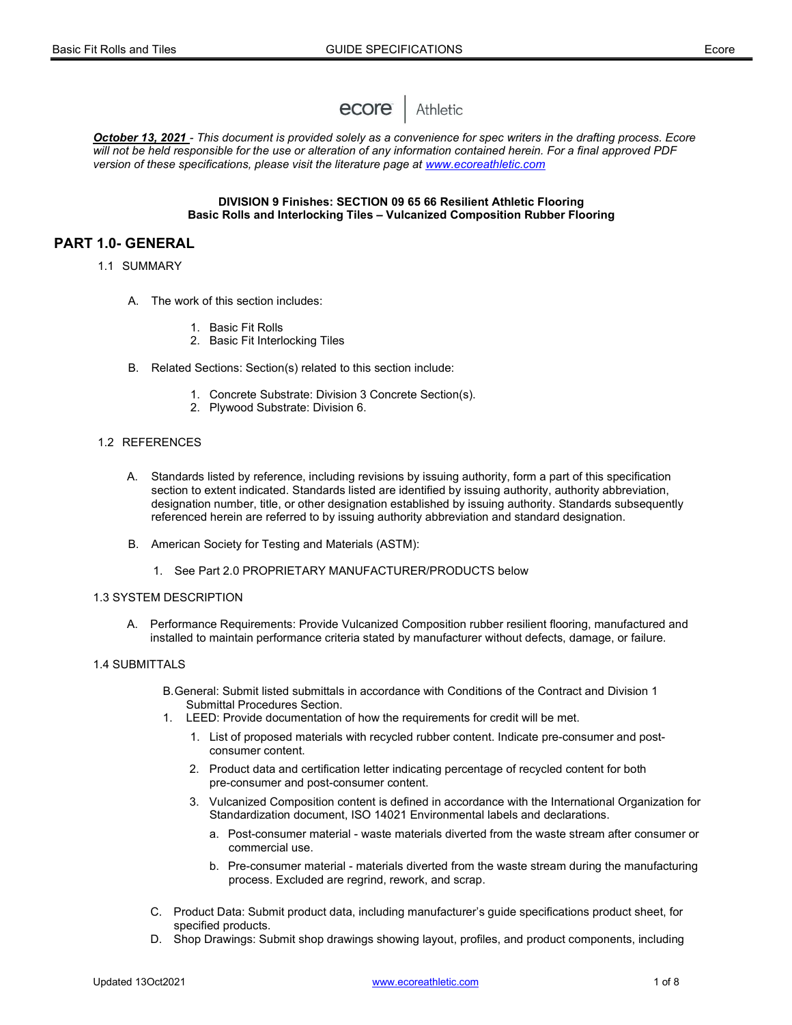#### **ecore** Athletic

October 13, 2021 - This document is provided solely as a convenience for spec writers in the drafting process. Ecore will not be held responsible for the use or alteration of any information contained herein. For a final approved PDF version of these specifications, please visit the literature page at www.ecoreathletic.com

### DIVISION 9 Finishes: SECTION 09 65 66 Resilient Athletic Flooring Basic Rolls and Interlocking Tiles – Vulcanized Composition Rubber Flooring

# PART 1.0- GENERAL

### 1.1 SUMMARY

- A. The work of this section includes:
	- 1. Basic Fit Rolls
	- 2. Basic Fit Interlocking Tiles
- B. Related Sections: Section(s) related to this section include:
	- 1. Concrete Substrate: Division 3 Concrete Section(s).
	- 2. Plywood Substrate: Division 6.

## 1.2 REFERENCES

- A. Standards listed by reference, including revisions by issuing authority, form a part of this specification section to extent indicated. Standards listed are identified by issuing authority, authority abbreviation, designation number, title, or other designation established by issuing authority. Standards subsequently referenced herein are referred to by issuing authority abbreviation and standard designation.
- B. American Society for Testing and Materials (ASTM):
	- 1. See Part 2.0 PROPRIETARY MANUFACTURER/PRODUCTS below

#### 1.3 SYSTEM DESCRIPTION

A. Performance Requirements: Provide Vulcanized Composition rubber resilient flooring, manufactured and installed to maintain performance criteria stated by manufacturer without defects, damage, or failure.

# 1.4 SUBMITTALS

- B. General: Submit listed submittals in accordance with Conditions of the Contract and Division 1 Submittal Procedures Section.
- 1. LEED: Provide documentation of how the requirements for credit will be met.
	- 1. List of proposed materials with recycled rubber content. Indicate pre-consumer and postconsumer content.
	- 2. Product data and certification letter indicating percentage of recycled content for both pre-consumer and post-consumer content.
	- 3. Vulcanized Composition content is defined in accordance with the International Organization for Standardization document, ISO 14021 Environmental labels and declarations.
		- a. Post-consumer material waste materials diverted from the waste stream after consumer or commercial use.
		- b. Pre-consumer material materials diverted from the waste stream during the manufacturing process. Excluded are regrind, rework, and scrap.
- C. Product Data: Submit product data, including manufacturer's guide specifications product sheet, for specified products.
- D. Shop Drawings: Submit shop drawings showing layout, profiles, and product components, including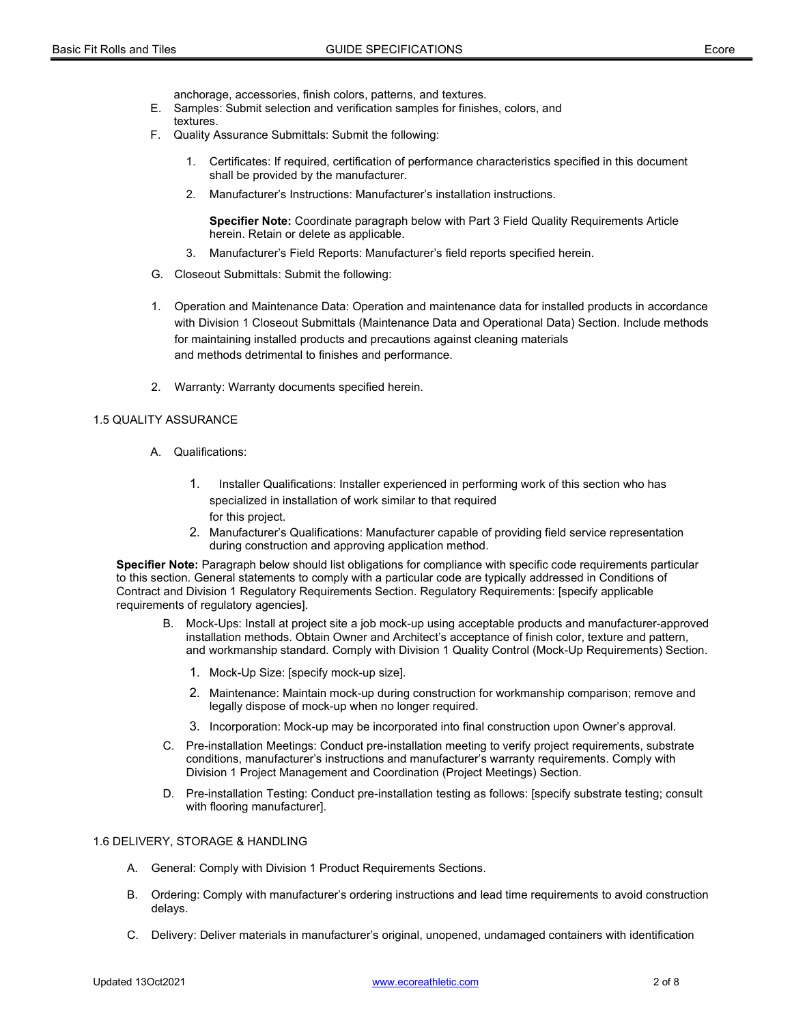anchorage, accessories, finish colors, patterns, and textures.

- E. Samples: Submit selection and verification samples for finishes, colors, and textures.
- F. Quality Assurance Submittals: Submit the following:
	- 1. Certificates: If required, certification of performance characteristics specified in this document shall be provided by the manufacturer.
	- 2. Manufacturer's Instructions: Manufacturer's installation instructions.

Specifier Note: Coordinate paragraph below with Part 3 Field Quality Requirements Article herein. Retain or delete as applicable.

- 3. Manufacturer's Field Reports: Manufacturer's field reports specified herein.
- G. Closeout Submittals: Submit the following:
- 1. Operation and Maintenance Data: Operation and maintenance data for installed products in accordance with Division 1 Closeout Submittals (Maintenance Data and Operational Data) Section. Include methods for maintaining installed products and precautions against cleaning materials and methods detrimental to finishes and performance.
- 2. Warranty: Warranty documents specified herein.

## 1.5 QUALITY ASSURANCE

- A. Qualifications:
	- 1. Installer Qualifications: Installer experienced in performing work of this section who has specialized in installation of work similar to that required for this project.
	- 2. Manufacturer's Qualifications: Manufacturer capable of providing field service representation during construction and approving application method.

Specifier Note: Paragraph below should list obligations for compliance with specific code requirements particular to this section. General statements to comply with a particular code are typically addressed in Conditions of Contract and Division 1 Regulatory Requirements Section. Regulatory Requirements: [specify applicable requirements of regulatory agencies].

- B. Mock-Ups: Install at project site a job mock-up using acceptable products and manufacturer-approved installation methods. Obtain Owner and Architect's acceptance of finish color, texture and pattern, and workmanship standard. Comply with Division 1 Quality Control (Mock-Up Requirements) Section.
	- 1. Mock-Up Size: [specify mock-up size].
	- 2. Maintenance: Maintain mock-up during construction for workmanship comparison; remove and legally dispose of mock-up when no longer required.
	- 3. Incorporation: Mock-up may be incorporated into final construction upon Owner's approval.
- C. Pre-installation Meetings: Conduct pre-installation meeting to verify project requirements, substrate conditions, manufacturer's instructions and manufacturer's warranty requirements. Comply with Division 1 Project Management and Coordination (Project Meetings) Section.
- D. Pre-installation Testing: Conduct pre-installation testing as follows: [specify substrate testing; consult with flooring manufacturer].

### 1.6 DELIVERY, STORAGE & HANDLING

- A. General: Comply with Division 1 Product Requirements Sections.
- B. Ordering: Comply with manufacturer's ordering instructions and lead time requirements to avoid construction delays.
- C. Delivery: Deliver materials in manufacturer's original, unopened, undamaged containers with identification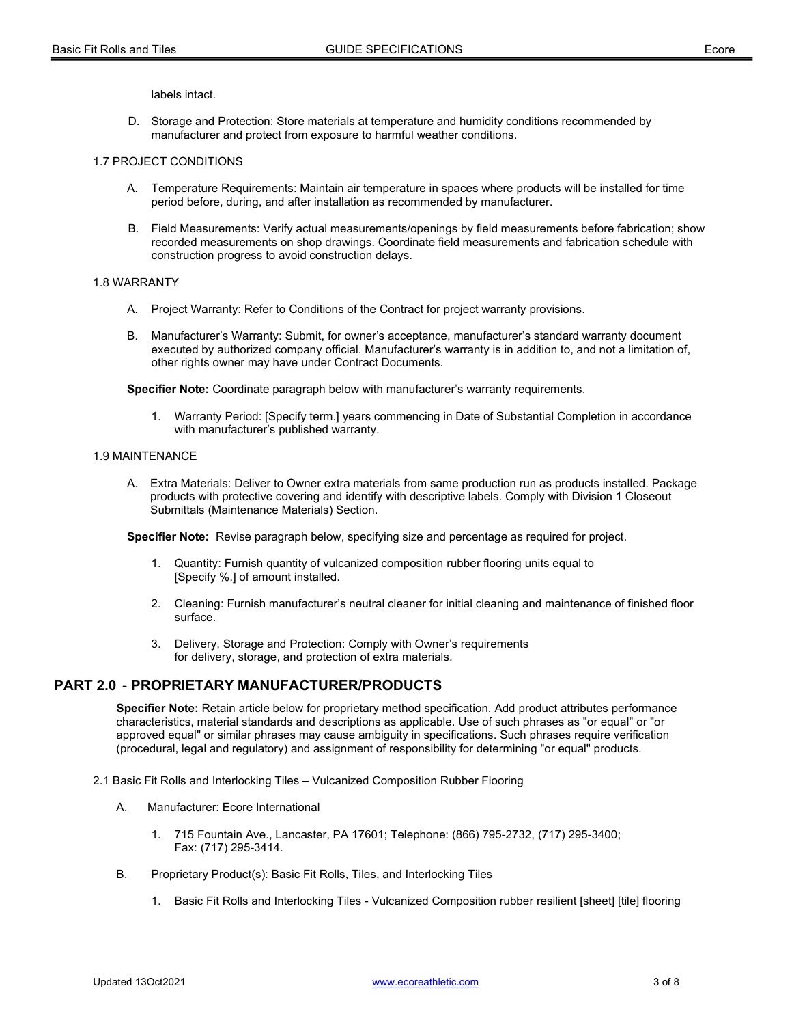labels intact.

D. Storage and Protection: Store materials at temperature and humidity conditions recommended by manufacturer and protect from exposure to harmful weather conditions.

#### 1.7 PROJECT CONDITIONS

- A. Temperature Requirements: Maintain air temperature in spaces where products will be installed for time period before, during, and after installation as recommended by manufacturer.
- B. Field Measurements: Verify actual measurements/openings by field measurements before fabrication; show recorded measurements on shop drawings. Coordinate field measurements and fabrication schedule with construction progress to avoid construction delays.

#### 1.8 WARRANTY

- A. Project Warranty: Refer to Conditions of the Contract for project warranty provisions.
- B. Manufacturer's Warranty: Submit, for owner's acceptance, manufacturer's standard warranty document executed by authorized company official. Manufacturer's warranty is in addition to, and not a limitation of, other rights owner may have under Contract Documents.

Specifier Note: Coordinate paragraph below with manufacturer's warranty requirements.

 1. Warranty Period: [Specify term.] years commencing in Date of Substantial Completion in accordance with manufacturer's published warranty.

# 1.9 MAINTENANCE

A. Extra Materials: Deliver to Owner extra materials from same production run as products installed. Package products with protective covering and identify with descriptive labels. Comply with Division 1 Closeout Submittals (Maintenance Materials) Section.

Specifier Note: Revise paragraph below, specifying size and percentage as required for project.

- 1. Quantity: Furnish quantity of vulcanized composition rubber flooring units equal to [Specify %.] of amount installed.
- 2. Cleaning: Furnish manufacturer's neutral cleaner for initial cleaning and maintenance of finished floor surface.
- 3. Delivery, Storage and Protection: Comply with Owner's requirements for delivery, storage, and protection of extra materials.

# PART 2.0 - PROPRIETARY MANUFACTURER/PRODUCTS

Specifier Note: Retain article below for proprietary method specification. Add product attributes performance characteristics, material standards and descriptions as applicable. Use of such phrases as "or equal" or "or approved equal" or similar phrases may cause ambiguity in specifications. Such phrases require verification (procedural, legal and regulatory) and assignment of responsibility for determining "or equal" products.

2.1 Basic Fit Rolls and Interlocking Tiles – Vulcanized Composition Rubber Flooring

- A. Manufacturer: Ecore International
	- 1. 715 Fountain Ave., Lancaster, PA 17601; Telephone: (866) 795-2732, (717) 295-3400; Fax: (717) 295-3414.
- B. Proprietary Product(s): Basic Fit Rolls, Tiles, and Interlocking Tiles
	- 1. Basic Fit Rolls and Interlocking Tiles Vulcanized Composition rubber resilient [sheet] [tile] flooring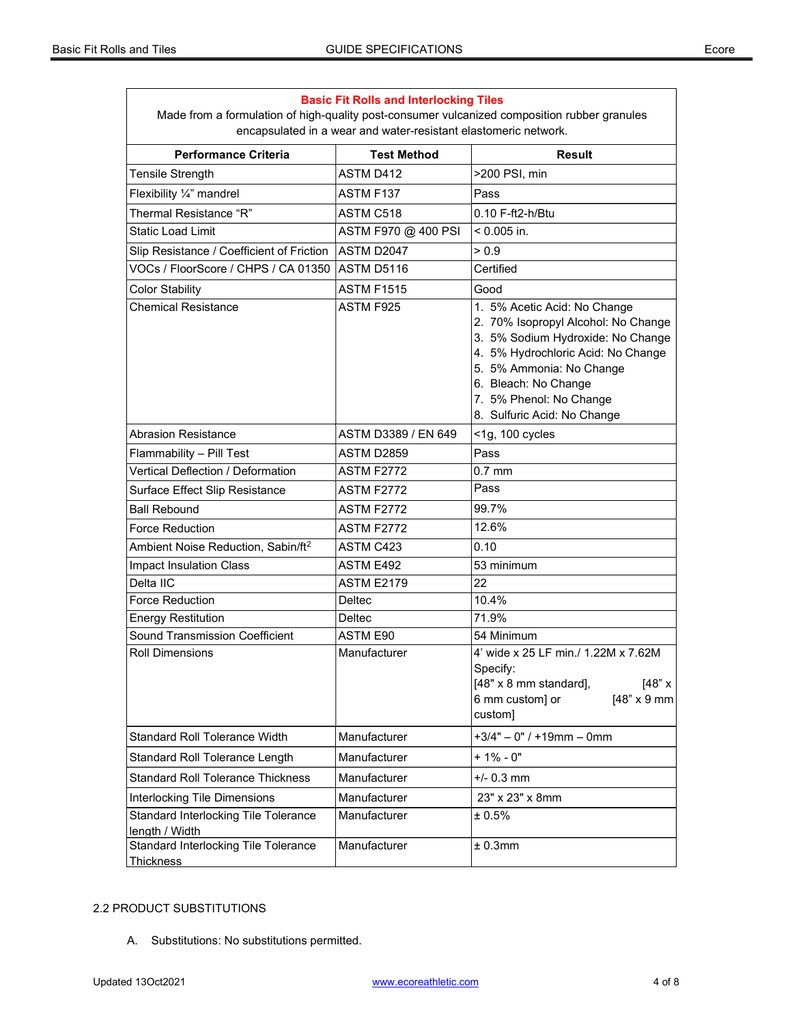$\overline{1}$ 

| <b>Basic Fit Rolls and Interlocking Tiles</b><br>Made from a formulation of high-quality post-consumer vulcanized composition rubber granules<br>encapsulated in a wear and water-resistant elastomeric network. |                     |                                                                                                                                                                                                                                                              |
|------------------------------------------------------------------------------------------------------------------------------------------------------------------------------------------------------------------|---------------------|--------------------------------------------------------------------------------------------------------------------------------------------------------------------------------------------------------------------------------------------------------------|
| <b>Performance Criteria</b>                                                                                                                                                                                      | <b>Test Method</b>  | Result                                                                                                                                                                                                                                                       |
| <b>Tensile Strength</b>                                                                                                                                                                                          | ASTM D412           | >200 PSI, min                                                                                                                                                                                                                                                |
| Flexibility $\frac{1}{4}$ " mandrel                                                                                                                                                                              | <b>ASTM F137</b>    | Pass                                                                                                                                                                                                                                                         |
| Thermal Resistance "R"                                                                                                                                                                                           | ASTM C518           | $0.10$ F-ft2-h/Btu                                                                                                                                                                                                                                           |
| <b>Static Load Limit</b>                                                                                                                                                                                         | ASTM F970 @ 400 PSI | $< 0.005$ in.                                                                                                                                                                                                                                                |
| Slip Resistance / Coefficient of Friction                                                                                                                                                                        | ASTM D2047          | > 0.9                                                                                                                                                                                                                                                        |
| VOCs / FloorScore / CHPS / CA 01350                                                                                                                                                                              | ASTM D5116          | Certified                                                                                                                                                                                                                                                    |
| <b>Color Stability</b>                                                                                                                                                                                           | <b>ASTM F1515</b>   | Good                                                                                                                                                                                                                                                         |
| <b>Chemical Resistance</b>                                                                                                                                                                                       | ASTM F925           | 1. 5% Acetic Acid: No Change<br>2. 70% Isopropyl Alcohol: No Change<br>3. 5% Sodium Hydroxide: No Change<br>4. 5% Hydrochloric Acid: No Change<br>5. 5% Ammonia: No Change<br>6. Bleach: No Change<br>7. 5% Phenol: No Change<br>8. Sulfuric Acid: No Change |
| Abrasion Resistance                                                                                                                                                                                              | ASTM D3389 / EN 649 | <1g, 100 cycles                                                                                                                                                                                                                                              |
| Flammability - Pill Test                                                                                                                                                                                         | ASTM D2859          | Pass                                                                                                                                                                                                                                                         |
| Vertical Deflection / Deformation                                                                                                                                                                                | <b>ASTM F2772</b>   | $0.7$ mm                                                                                                                                                                                                                                                     |
| Surface Effect Slip Resistance                                                                                                                                                                                   | <b>ASTM F2772</b>   | Pass                                                                                                                                                                                                                                                         |
| <b>Ball Rebound</b>                                                                                                                                                                                              | <b>ASTM F2772</b>   | 99.7%                                                                                                                                                                                                                                                        |
| Force Reduction                                                                                                                                                                                                  | <b>ASTM F2772</b>   | 12.6%                                                                                                                                                                                                                                                        |
| Ambient Noise Reduction, Sabin/ft <sup>2</sup>                                                                                                                                                                   | ASTM C423           | 0.10                                                                                                                                                                                                                                                         |
| <b>Impact Insulation Class</b>                                                                                                                                                                                   | ASTM E492           | 53 minimum                                                                                                                                                                                                                                                   |
| Delta IIC                                                                                                                                                                                                        | <b>ASTM E2179</b>   | 22                                                                                                                                                                                                                                                           |
| <b>Force Reduction</b>                                                                                                                                                                                           | Deltec              | 10.4%                                                                                                                                                                                                                                                        |
| <b>Energy Restitution</b>                                                                                                                                                                                        | <b>Deltec</b>       | 71.9%                                                                                                                                                                                                                                                        |
| Sound Transmission Coefficient                                                                                                                                                                                   | ASTM E90            | 54 Minimum                                                                                                                                                                                                                                                   |
| <b>Roll Dimensions</b>                                                                                                                                                                                           | Manufacturer        | 4' wide x 25 LF min./ 1.22M x 7.62M<br>Specify:<br>[48" x 8 mm standard],<br>[48" x]<br>6 mm custom] or<br>$[48" \times 9$ mm<br>custom]                                                                                                                     |
| Standard Roll Tolerance Width                                                                                                                                                                                    | Manufacturer        | $+3/4" - 0" / +19mm - 0mm$                                                                                                                                                                                                                                   |
| Standard Roll Tolerance Length                                                                                                                                                                                   | Manufacturer        | $+1\% - 0"$                                                                                                                                                                                                                                                  |
| <b>Standard Roll Tolerance Thickness</b>                                                                                                                                                                         | Manufacturer        | $+/- 0.3$ mm                                                                                                                                                                                                                                                 |
| Interlocking Tile Dimensions                                                                                                                                                                                     | Manufacturer        | 23" x 23" x 8mm                                                                                                                                                                                                                                              |
| Standard Interlocking Tile Tolerance<br>length / Width                                                                                                                                                           | Manufacturer        | ± 0.5%                                                                                                                                                                                                                                                       |
| Standard Interlocking Tile Tolerance<br><u>Thickness</u>                                                                                                                                                         | Manufacturer        | ± 0.3mm                                                                                                                                                                                                                                                      |

# 2.2 PRODUCT SUBSTITUTIONS

A. Substitutions: No substitutions permitted.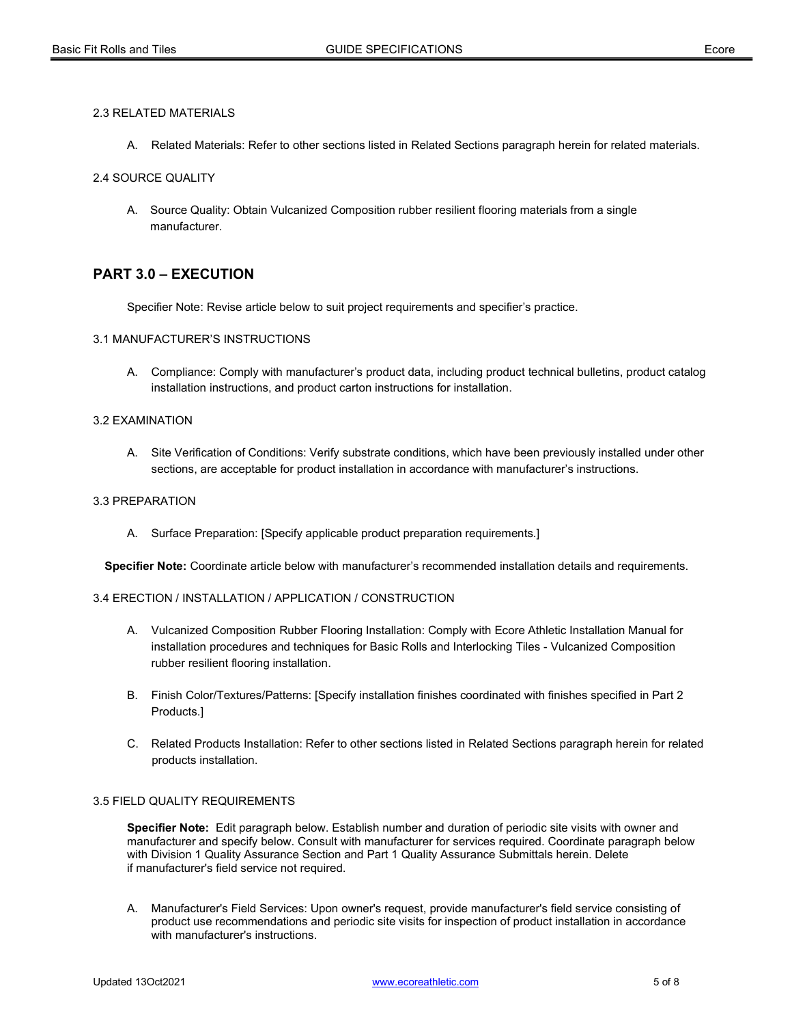### 2.3 RELATED MATERIALS

A. Related Materials: Refer to other sections listed in Related Sections paragraph herein for related materials.

### 2.4 SOURCE QUALITY

A. Source Quality: Obtain Vulcanized Composition rubber resilient flooring materials from a single manufacturer.

# PART 3.0 – EXECUTION

Specifier Note: Revise article below to suit project requirements and specifier's practice.

### 3.1 MANUFACTURER'S INSTRUCTIONS

 A. Compliance: Comply with manufacturer's product data, including product technical bulletins, product catalog installation instructions, and product carton instructions for installation.

## 3.2 EXAMINATION

 A. Site Verification of Conditions: Verify substrate conditions, which have been previously installed under other sections, are acceptable for product installation in accordance with manufacturer's instructions.

# 3.3 PREPARATION

A. Surface Preparation: [Specify applicable product preparation requirements.]

Specifier Note: Coordinate article below with manufacturer's recommended installation details and requirements.

## 3.4 ERECTION / INSTALLATION / APPLICATION / CONSTRUCTION

- A. Vulcanized Composition Rubber Flooring Installation: Comply with Ecore Athletic Installation Manual for installation procedures and techniques for Basic Rolls and Interlocking Tiles - Vulcanized Composition rubber resilient flooring installation.
- B. Finish Color/Textures/Patterns: [Specify installation finishes coordinated with finishes specified in Part 2 Products.]
- C. Related Products Installation: Refer to other sections listed in Related Sections paragraph herein for related products installation.

# 3.5 FIELD QUALITY REQUIREMENTS

Specifier Note: Edit paragraph below. Establish number and duration of periodic site visits with owner and manufacturer and specify below. Consult with manufacturer for services required. Coordinate paragraph below with Division 1 Quality Assurance Section and Part 1 Quality Assurance Submittals herein. Delete if manufacturer's field service not required.

 A. Manufacturer's Field Services: Upon owner's request, provide manufacturer's field service consisting of product use recommendations and periodic site visits for inspection of product installation in accordance with manufacturer's instructions.